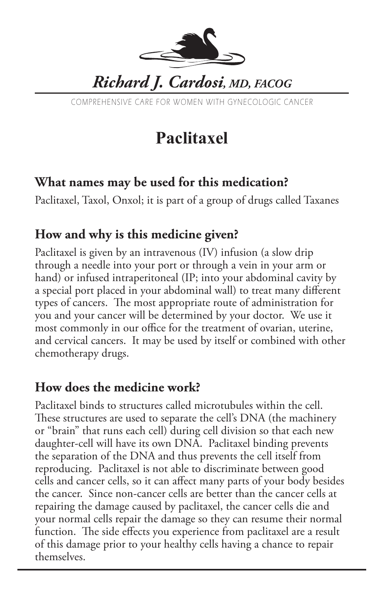

COMPREHENSIVE CARE FOR WOMEN WITH GYNECOLOGIC CANCER

# **Paclitaxel**

#### **What names may be used for this medication?**

Paclitaxel, Taxol, Onxol; it is part of a group of drugs called Taxanes

## **How and why is this medicine given?**

Paclitaxel is given by an intravenous (IV) infusion (a slow drip through a needle into your port or through a vein in your arm or hand) or infused intraperitoneal (IP; into your abdominal cavity by a special port placed in your abdominal wall) to treat many different types of cancers. The most appropriate route of administration for you and your cancer will be determined by your doctor. We use it most commonly in our office for the treatment of ovarian, uterine, and cervical cancers. It may be used by itself or combined with other chemotherapy drugs.

## **How does the medicine work?**

Paclitaxel binds to structures called microtubules within the cell. These structures are used to separate the cell's DNA (the machinery or "brain" that runs each cell) during cell division so that each new daughter-cell will have its own DNA. Paclitaxel binding prevents the separation of the DNA and thus prevents the cell itself from reproducing. Paclitaxel is not able to discriminate between good cells and cancer cells, so it can affect many parts of your body besides the cancer. Since non-cancer cells are better than the cancer cells at repairing the damage caused by paclitaxel, the cancer cells die and your normal cells repair the damage so they can resume their normal function. The side effects you experience from paclitaxel are a result of this damage prior to your healthy cells having a chance to repair themselves.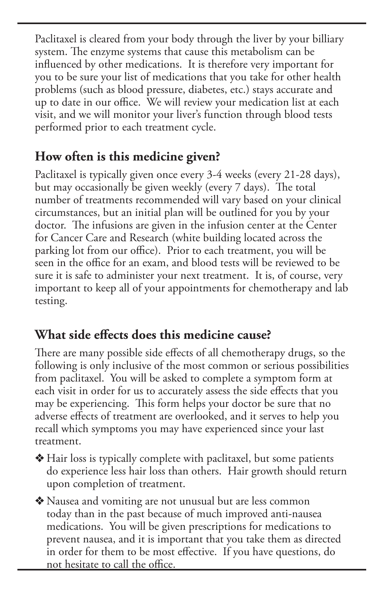Paclitaxel is cleared from your body through the liver by your billiary system. The enzyme systems that cause this metabolism can be influenced by other medications. It is therefore very important for you to be sure your list of medications that you take for other health problems (such as blood pressure, diabetes, etc.) stays accurate and up to date in our office. We will review your medication list at each visit, and we will monitor your liver's function through blood tests performed prior to each treatment cycle.

#### **How often is this medicine given?**

Paclitaxel is typically given once every 3-4 weeks (every 21-28 days), but may occasionally be given weekly (every 7 days). The total number of treatments recommended will vary based on your clinical circumstances, but an initial plan will be outlined for you by your doctor. The infusions are given in the infusion center at the Center for Cancer Care and Research (white building located across the parking lot from our office). Prior to each treatment, you will be seen in the office for an exam, and blood tests will be reviewed to be sure it is safe to administer your next treatment. It is, of course, very important to keep all of your appointments for chemotherapy and lab testing.

## **What side effects does this medicine cause?**

There are many possible side effects of all chemotherapy drugs, so the following is only inclusive of the most common or serious possibilities from paclitaxel. You will be asked to complete a symptom form at each visit in order for us to accurately assess the side effects that you may be experiencing. This form helps your doctor be sure that no adverse effects of treatment are overlooked, and it serves to help you recall which symptoms you may have experienced since your last treatment.

 $*$  Hair loss is typically complete with paclitaxel, but some patients do experience less hair loss than others. Hair growth should return upon completion of treatment.

• Nausea and vomiting are not unusual but are less common today than in the past because of much improved anti-nausea medications. You will be given prescriptions for medications to prevent nausea, and it is important that you take them as directed in order for them to be most effective. If you have questions, do not hesitate to call the office.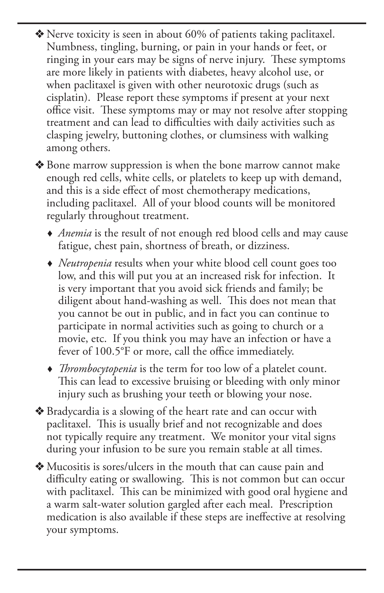$\triangle$  Nerve toxicity is seen in about 60% of patients taking paclitaxel. Numbness, tingling, burning, or pain in your hands or feet, or ringing in your ears may be signs of nerve injury. These symptoms are more likely in patients with diabetes, heavy alcohol use, or when paclitaxel is given with other neurotoxic drugs (such as cisplatin). Please report these symptoms if present at your next office visit. These symptoms may or may not resolve after stopping treatment and can lead to difficulties with daily activities such as clasping jewelry, buttoning clothes, or clumsiness with walking among others.

◆ Bone marrow suppression is when the bone marrow cannot make enough red cells, white cells, or platelets to keep up with demand, and this is a side effect of most chemotherapy medications, including paclitaxel. All of your blood counts will be monitored regularly throughout treatment.

- *Anemia* is the result of not enough red blood cells and may cause fatigue, chest pain, shortness of breath, or dizziness.
- *Neutropenia* results when your white blood cell count goes too low, and this will put you at an increased risk for infection. It is very important that you avoid sick friends and family; be diligent about hand-washing as well. This does not mean that you cannot be out in public, and in fact you can continue to participate in normal activities such as going to church or a movie, etc. If you think you may have an infection or have a fever of 100.5°F or more, call the office immediately.
- *Thrombocytopenia* is the term for too low of a platelet count. This can lead to excessive bruising or bleeding with only minor injury such as brushing your teeth or blowing your nose.
- v Bradycardia is a slowing of the heart rate and can occur with paclitaxel. This is usually brief and not recognizable and does not typically require any treatment. We monitor your vital signs during your infusion to be sure you remain stable at all times.

v Mucositis is sores/ulcers in the mouth that can cause pain and difficulty eating or swallowing. This is not common but can occur with paclitaxel. This can be minimized with good oral hygiene and a warm salt-water solution gargled after each meal. Prescription medication is also available if these steps are ineffective at resolving your symptoms.